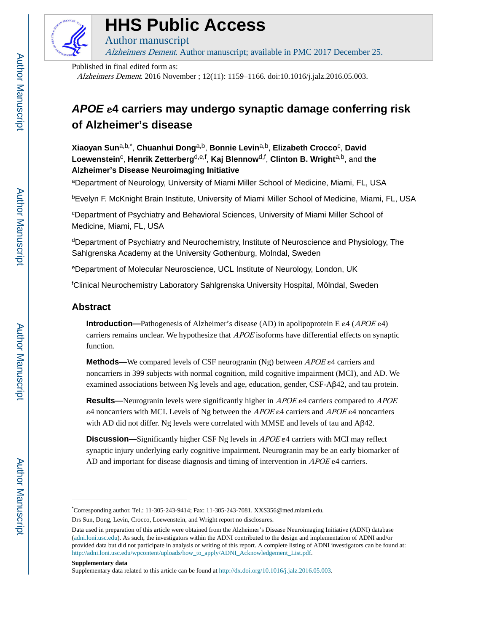

# **HHS Public Access**

Author manuscript Alzheimers Dement. Author manuscript; available in PMC 2017 December 25.

Published in final edited form as:

Alzheimers Dement. 2016 November ; 12(11): 1159–1166. doi:10.1016/j.jalz.2016.05.003.

# **APOE** ε**4 carriers may undergo synaptic damage conferring risk of Alzheimer's disease**

**Xiaoyan Sun**a,b,\* , **Chuanhui Dong**a,b, **Bonnie Levin**a,b, **Elizabeth Crocco**<sup>c</sup> , **David**   $L$ oewenstein<sup>c</sup>, Henrik Zetterberg<sup>d,e,f</sup>, Kaj Blennow<sup>d,f</sup>, Clinton B. Wright<sup>a,b</sup>, and the **Alzheimer's Disease Neuroimaging Initiative**

<sup>a</sup>Department of Neurology, University of Miami Miller School of Medicine, Miami, FL, USA

<sup>b</sup>Evelyn F. McKnight Brain Institute, University of Miami Miller School of Medicine, Miami, FL, USA

<sup>c</sup>Department of Psychiatry and Behavioral Sciences, University of Miami Miller School of Medicine, Miami, FL, USA

<sup>d</sup>Department of Psychiatry and Neurochemistry, Institute of Neuroscience and Physiology, The Sahlgrenska Academy at the University Gothenburg, Molndal, Sweden

<sup>e</sup>Department of Molecular Neuroscience, UCL Institute of Neurology, London, UK

<sup>f</sup>Clinical Neurochemistry Laboratory Sahlgrenska University Hospital, Mölndal, Sweden

# **Abstract**

**Introduction—**Pathogenesis of Alzheimer's disease (AD) in apolipoprotein E ε4 (APOE ε4) carriers remains unclear. We hypothesize that *APOE* isoforms have differential effects on synaptic function.

**Methods—**We compared levels of CSF neurogranin (Ng) between *APOE* ε4 carriers and noncarriers in 399 subjects with normal cognition, mild cognitive impairment (MCI), and AD. We examined associations between Ng levels and age, education, gender, CSF-Aβ42, and tau protein.

**Results—**Neurogranin levels were significantly higher in APOE ε4 carriers compared to APOE ε4 noncarriers with MCI. Levels of Ng between the APOE ε4 carriers and APOE ε4 noncarriers with AD did not differ. Ng levels were correlated with MMSE and levels of tau and Aβ42.

**Discussion—**Significantly higher CSF Ng levels in APOE ε4 carriers with MCI may reflect synaptic injury underlying early cognitive impairment. Neurogranin may be an early biomarker of AD and important for disease diagnosis and timing of intervention in APOE e4 carriers.

**Supplementary data**

<sup>\*</sup>Corresponding author. Tel.: 11-305-243-9414; Fax: 11-305-243-7081. XXS356@med.miami.edu.

Drs Sun, Dong, Levin, Crocco, Loewenstein, and Wright report no disclosures.

Data used in preparation of this article were obtained from the Alzheimer's Disease Neuroimaging Initiative (ADNI) database ([adni.loni.usc.edu](http://adni.loni.usc.edu)). As such, the investigators within the ADNI contributed to the design and implementation of ADNI and/or provided data but did not participate in analysis or writing of this report. A complete listing of ADNI investigators can be found at: [http://adni.loni.usc.edu/wpcontent/uploads/how\\_to\\_apply/ADNI\\_Acknowledgement\\_List.pdf.](http://adni.loni.usc.edu/wpcontent/uploads/how_to_apply/ADNI_Acknowledgement_List.pdf)

Supplementary data related to this article can be found at<http://dx.doi.org/10.1016/j.jalz.2016.05.003>.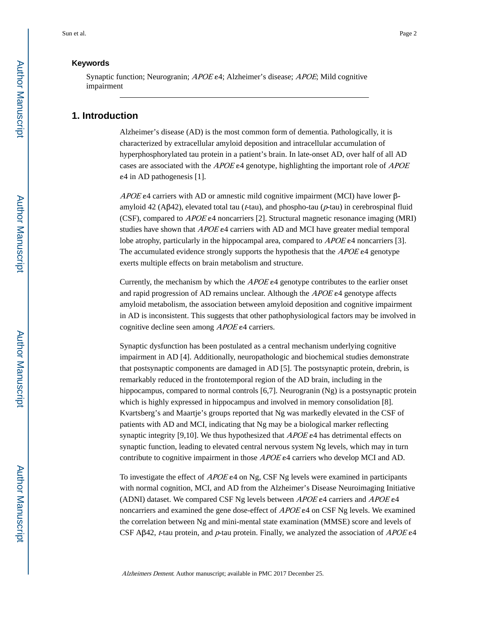# **Keywords**

Synaptic function; Neurogranin; APOE ε4; Alzheimer's disease; APOE; Mild cognitive impairment

# **1. Introduction**

Alzheimer's disease (AD) is the most common form of dementia. Pathologically, it is characterized by extracellular amyloid deposition and intracellular accumulation of hyperphosphorylated tau protein in a patient's brain. In late-onset AD, over half of all AD cases are associated with the APOE e4 genotype, highlighting the important role of APOE ε4 in AD pathogenesis [1].

APOE  $\varepsilon$ 4 carriers with AD or amnestic mild cognitive impairment (MCI) have lower  $\beta$ amyloid 42 (A $\beta$ 42), elevated total tau ( $t$ -tau), and phospho-tau ( $p$ -tau) in cerebrospinal fluid (CSF), compared to APOE ε4 noncarriers [2]. Structural magnetic resonance imaging (MRI) studies have shown that  $APOE$  e4 carriers with AD and MCI have greater medial temporal lobe atrophy, particularly in the hippocampal area, compared to APOE ε4 noncarriers [3]. The accumulated evidence strongly supports the hypothesis that the APOE e4 genotype exerts multiple effects on brain metabolism and structure.

Currently, the mechanism by which the  $APOEe4$  genotype contributes to the earlier onset and rapid progression of AD remains unclear. Although the APOE ε4 genotype affects amyloid metabolism, the association between amyloid deposition and cognitive impairment in AD is inconsistent. This suggests that other pathophysiological factors may be involved in cognitive decline seen among APOE ε4 carriers.

Synaptic dysfunction has been postulated as a central mechanism underlying cognitive impairment in AD [4]. Additionally, neuropathologic and biochemical studies demonstrate that postsynaptic components are damaged in AD [5]. The postsynaptic protein, drebrin, is remarkably reduced in the frontotemporal region of the AD brain, including in the hippocampus, compared to normal controls [6,7]. Neurogranin (Ng) is a postsynaptic protein which is highly expressed in hippocampus and involved in memory consolidation [8]. Kvartsberg's and Maartje's groups reported that Ng was markedly elevated in the CSF of patients with AD and MCI, indicating that Ng may be a biological marker reflecting synaptic integrity [9,10]. We thus hypothesized that  $APOE$  e4 has detrimental effects on synaptic function, leading to elevated central nervous system Ng levels, which may in turn contribute to cognitive impairment in those APOE ε4 carriers who develop MCI and AD.

To investigate the effect of  $APOE \ge 4$  on Ng, CSF Ng levels were examined in participants with normal cognition, MCI, and AD from the Alzheimer's Disease Neuroimaging Initiative (ADNI) dataset. We compared CSF Ng levels between APOE ε4 carriers and APOE ε4 noncarriers and examined the gene dose-effect of APOE ε4 on CSF Ng levels. We examined the correlation between Ng and mini-mental state examination (MMSE) score and levels of CSF Aβ42, *t*-tau protein, and  $p$ -tau protein. Finally, we analyzed the association of APOE e4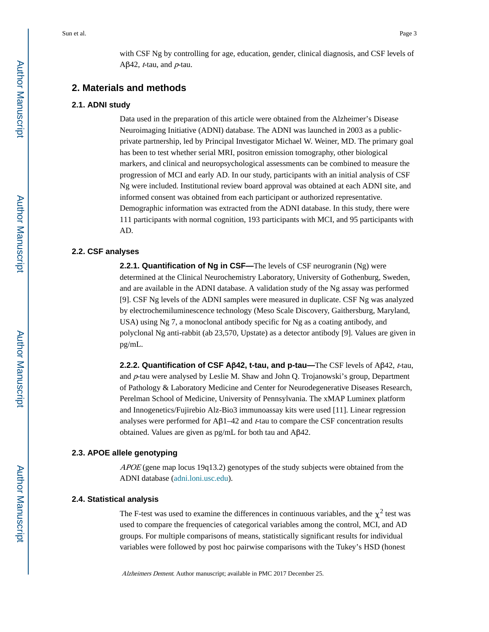with CSF Ng by controlling for age, education, gender, clinical diagnosis, and CSF levels of Aβ42, *t*-tau, and *-tau.* 

# **2. Materials and methods**

#### **2.1. ADNI study**

Data used in the preparation of this article were obtained from the Alzheimer's Disease Neuroimaging Initiative (ADNI) database. The ADNI was launched in 2003 as a publicprivate partnership, led by Principal Investigator Michael W. Weiner, MD. The primary goal has been to test whether serial MRI, positron emission tomography, other biological markers, and clinical and neuropsychological assessments can be combined to measure the progression of MCI and early AD. In our study, participants with an initial analysis of CSF Ng were included. Institutional review board approval was obtained at each ADNI site, and informed consent was obtained from each participant or authorized representative. Demographic information was extracted from the ADNI database. In this study, there were 111 participants with normal cognition, 193 participants with MCI, and 95 participants with AD.

#### **2.2. CSF analyses**

**2.2.1. Quantification of Ng in CSF—The levels of CSF neurogranin (Ng) were** determined at the Clinical Neurochemistry Laboratory, University of Gothenburg, Sweden, and are available in the ADNI database. A validation study of the Ng assay was performed [9]. CSF Ng levels of the ADNI samples were measured in duplicate. CSF Ng was analyzed by electrochemiluminescence technology (Meso Scale Discovery, Gaithersburg, Maryland, USA) using Ng 7, a monoclonal antibody specific for Ng as a coating antibody, and polyclonal Ng anti-rabbit (ab 23,570, Upstate) as a detector antibody [9]. Values are given in pg/mL.

**2.2.2. Quantification of CSF Aβ42, t-tau, and p-tau—The CSF levels of Aβ42,** *t***-tau,** and p-tau were analysed by Leslie M. Shaw and John Q. Trojanowski's group, Department of Pathology & Laboratory Medicine and Center for Neurodegenerative Diseases Research, Perelman School of Medicine, University of Pennsylvania. The xMAP Luminex platform and Innogenetics/Fujirebio Alz-Bio3 immunoassay kits were used [11]. Linear regression analyses were performed for  $\mathbf{A}\beta$ 1–42 and t-tau to compare the CSF concentration results obtained. Values are given as pg/mL for both tau and Aβ42.

# **2.3. APOE allele genotyping**

 $APOE$  (gene map locus 19q13.2) genotypes of the study subjects were obtained from the ADNI database ([adni.loni.usc.edu\)](http://adni.loni.usc.edu).

#### **2.4. Statistical analysis**

The F-test was used to examine the differences in continuous variables, and the  $\chi^2$  test was used to compare the frequencies of categorical variables among the control, MCI, and AD groups. For multiple comparisons of means, statistically significant results for individual variables were followed by post hoc pairwise comparisons with the Tukey's HSD (honest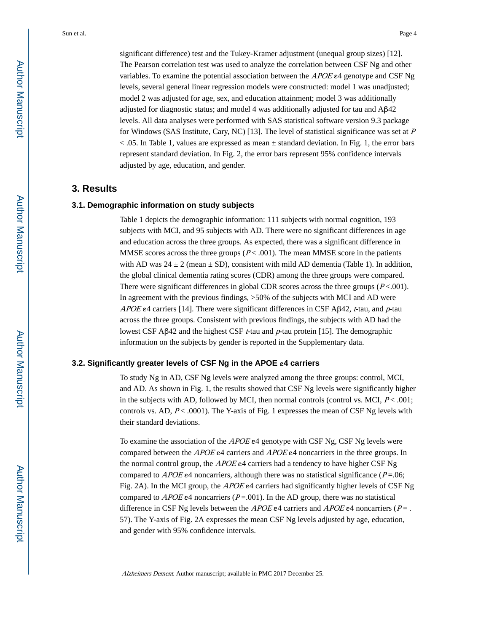significant difference) test and the Tukey-Kramer adjustment (unequal group sizes) [12]. The Pearson correlation test was used to analyze the correlation between CSF Ng and other variables. To examine the potential association between the APOE ε4 genotype and CSF Ng levels, several general linear regression models were constructed: model 1 was unadjusted; model 2 was adjusted for age, sex, and education attainment; model 3 was additionally adjusted for diagnostic status; and model 4 was additionally adjusted for tau and Aβ42 levels. All data analyses were performed with SAS statistical software version 9.3 package for Windows (SAS Institute, Cary, NC) [13]. The level of statistical significance was set at <sup>P</sup>  $<$  0.05. In Table 1, values are expressed as mean  $\pm$  standard deviation. In Fig. 1, the error bars represent standard deviation. In Fig. 2, the error bars represent 95% confidence intervals adjusted by age, education, and gender.

# **3. Results**

#### **3.1. Demographic information on study subjects**

Table 1 depicts the demographic information: 111 subjects with normal cognition, 193 subjects with MCI, and 95 subjects with AD. There were no significant differences in age and education across the three groups. As expected, there was a significant difference in MMSE scores across the three groups  $(P < .001)$ . The mean MMSE score in the patients with AD was  $24 \pm 2$  (mean  $\pm$  SD), consistent with mild AD dementia (Table 1). In addition, the global clinical dementia rating scores (CDR) among the three groups were compared. There were significant differences in global CDR scores across the three groups  $(P < 0.001)$ . In agreement with the previous findings, >50% of the subjects with MCI and AD were APOE  $\varepsilon$ 4 carriers [14]. There were significant differences in CSF Aβ42, t-tau, and  $p$ -tau across the three groups. Consistent with previous findings, the subjects with AD had the lowest CSF Aβ42 and the highest CSF *t*-tau and *p*-tau protein [15]. The demographic information on the subjects by gender is reported in the Supplementary data.

#### **3.2. Significantly greater levels of CSF Ng in the APOE** ε**4 carriers**

To study Ng in AD, CSF Ng levels were analyzed among the three groups: control, MCI, and AD. As shown in Fig. 1, the results showed that CSF Ng levels were significantly higher in the subjects with AD, followed by MCI, then normal controls (control vs. MCI,  $P < .001$ ; controls vs. AD,  $P < .0001$ ). The Y-axis of Fig. 1 expresses the mean of CSF Ng levels with their standard deviations.

To examine the association of the APOE ε4 genotype with CSF Ng, CSF Ng levels were compared between the APOE  $\varepsilon$ 4 carriers and APOE  $\varepsilon$ 4 noncarriers in the three groups. In the normal control group, the  $APOEe4$  carriers had a tendency to have higher CSF Ng compared to  $APOE$  e4 noncarriers, although there was no statistical significance ( $P = .06$ ; Fig. 2A). In the MCI group, the APOE ε4 carriers had significantly higher levels of CSF Ng compared to  $APOE$  e4 noncarriers (P=.001). In the AD group, there was no statistical difference in CSF Ng levels between the APOE  $e^4$  carriers and APOE  $e^4$  noncarriers (P = . 57). The Y-axis of Fig. 2A expresses the mean CSF Ng levels adjusted by age, education, and gender with 95% confidence intervals.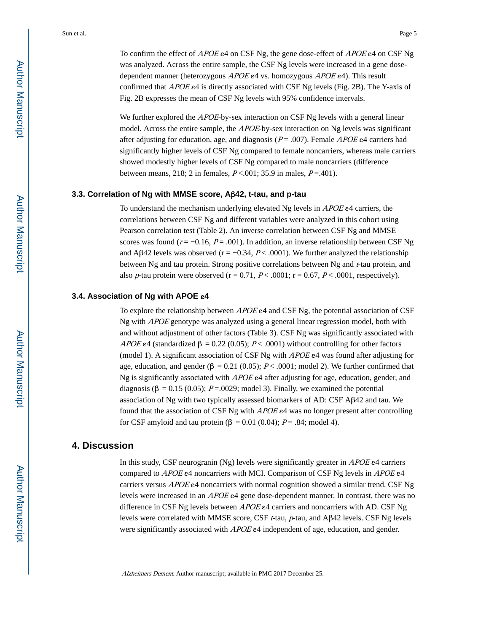To confirm the effect of APOE ε4 on CSF Ng, the gene dose-effect of APOE ε4 on CSF Ng was analyzed. Across the entire sample, the CSF Ng levels were increased in a gene dosedependent manner (heterozygous  $APOE \epsilon 4$  vs. homozygous  $APOE \epsilon 4$ ). This result confirmed that APOE ε4 is directly associated with CSF Ng levels (Fig. 2B). The Y-axis of Fig. 2B expresses the mean of CSF Ng levels with 95% confidence intervals.

We further explored the *APOE*-by-sex interaction on CSF Ng levels with a general linear model. Across the entire sample, the *APOE*-by-sex interaction on Ng levels was significant after adjusting for education, age, and diagnosis ( $P = .007$ ). Female *APOE* e4 carriers had significantly higher levels of CSF Ng compared to female noncarriers, whereas male carriers showed modestly higher levels of CSF Ng compared to male noncarriers (difference between means, 218; 2 in females,  $P < .001$ ; 35.9 in males,  $P = .401$ ).

#### **3.3. Correlation of Ng with MMSE score, A**β**42, t-tau, and p-tau**

To understand the mechanism underlying elevated Ng levels in APOE ε4 carriers, the correlations between CSF Ng and different variables were analyzed in this cohort using Pearson correlation test (Table 2). An inverse correlation between CSF Ng and MMSE scores was found ( $r = -0.16$ ,  $P = .001$ ). In addition, an inverse relationship between CSF Ng and Aβ42 levels was observed ( $r = -0.34$ ,  $P < .0001$ ). We further analyzed the relationship between Ng and tau protein. Strong positive correlations between Ng and  $t$ -tau protein, and also  $p$ -tau protein were observed (r = 0.71,  $P < .0001$ ; r = 0.67,  $P < .0001$ , respectively).

#### **3.4. Association of Ng with APOE** ε**4**

To explore the relationship between APOE ε4 and CSF Ng, the potential association of CSF Ng with APOE genotype was analyzed using a general linear regression model, both with and without adjustment of other factors (Table 3). CSF Ng was significantly associated with APOE ε4 (standardized  $\beta = 0.22$  (0.05); P < .0001) without controlling for other factors (model 1). A significant association of CSF Ng with APOE ε4 was found after adjusting for age, education, and gender ( $\beta = 0.21$  (0.05); P < .0001; model 2). We further confirmed that Ng is significantly associated with  $APOE$  e4 after adjusting for age, education, gender, and diagnosis ( $\beta = 0.15$  (0.05); P=.0029; model 3). Finally, we examined the potential association of Ng with two typically assessed biomarkers of AD: CSF Aβ42 and tau. We found that the association of CSF Ng with APOE ε4 was no longer present after controlling for CSF amyloid and tau protein (β = 0.01 (0.04);  $P = .84$ ; model 4).

# **4. Discussion**

In this study, CSF neurogranin (Ng) levels were significantly greater in  $APOE$  e4 carriers compared to APOE ε4 noncarriers with MCI. Comparison of CSF Ng levels in APOE ε4 carriers versus  $APOE$  e4 noncarriers with normal cognition showed a similar trend. CSF Ng levels were increased in an APOE ε4 gene dose-dependent manner. In contrast, there was no difference in CSF Ng levels between APOE ε4 carriers and noncarriers with AD. CSF Ng levels were correlated with MMSE score, CSF  $t$ -tau,  $p$ -tau, and A $\beta$ 42 levels. CSF Ng levels were significantly associated with APOE  $\epsilon$ 4 independent of age, education, and gender.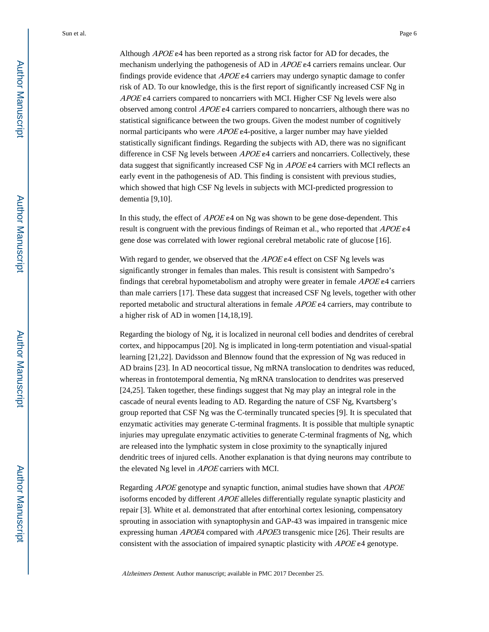Although *APOE* e4 has been reported as a strong risk factor for AD for decades, the mechanism underlying the pathogenesis of AD in APOE e4 carriers remains unclear. Our findings provide evidence that  $APOE$  e4 carriers may undergo synaptic damage to confer risk of AD. To our knowledge, this is the first report of significantly increased CSF Ng in APOE ε4 carriers compared to noncarriers with MCI. Higher CSF Ng levels were also observed among control  $APOE$  e4 carriers compared to noncarriers, although there was no statistical significance between the two groups. Given the modest number of cognitively normal participants who were APOE ε4-positive, a larger number may have yielded statistically significant findings. Regarding the subjects with AD, there was no significant difference in CSF Ng levels between APOE ε4 carriers and noncarriers. Collectively, these

early event in the pathogenesis of AD. This finding is consistent with previous studies, which showed that high CSF Ng levels in subjects with MCI-predicted progression to dementia [9,10].

data suggest that significantly increased CSF Ng in *APOE* e4 carriers with MCI reflects an

In this study, the effect of  $APOE \neq 4$  on Ng was shown to be gene dose-dependent. This result is congruent with the previous findings of Reiman et al., who reported that APOE ε4 gene dose was correlated with lower regional cerebral metabolic rate of glucose [16].

With regard to gender, we observed that the APOE ε4 effect on CSF Ng levels was significantly stronger in females than males. This result is consistent with Sampedro's findings that cerebral hypometabolism and atrophy were greater in female *APOE* e4 carriers than male carriers [17]. These data suggest that increased CSF Ng levels, together with other reported metabolic and structural alterations in female APOE ε4 carriers, may contribute to a higher risk of AD in women [14,18,19].

Regarding the biology of Ng, it is localized in neuronal cell bodies and dendrites of cerebral cortex, and hippocampus [20]. Ng is implicated in long-term potentiation and visual-spatial learning [21,22]. Davidsson and Blennow found that the expression of Ng was reduced in AD brains [23]. In AD neocortical tissue, Ng mRNA translocation to dendrites was reduced, whereas in frontotemporal dementia, Ng mRNA translocation to dendrites was preserved [24,25]. Taken together, these findings suggest that Ng may play an integral role in the cascade of neural events leading to AD. Regarding the nature of CSF Ng, Kvartsberg's group reported that CSF Ng was the C-terminally truncated species [9]. It is speculated that enzymatic activities may generate C-terminal fragments. It is possible that multiple synaptic injuries may upregulate enzymatic activities to generate C-terminal fragments of Ng, which are released into the lymphatic system in close proximity to the synaptically injured dendritic trees of injured cells. Another explanation is that dying neurons may contribute to the elevated Ng level in APOE carriers with MCI.

Regarding APOE genotype and synaptic function, animal studies have shown that APOE isoforms encoded by different APOE alleles differentially regulate synaptic plasticity and repair [3]. White et al. demonstrated that after entorhinal cortex lesioning, compensatory sprouting in association with synaptophysin and GAP-43 was impaired in transgenic mice expressing human *APOE*4 compared with *APOE3* transgenic mice [26]. Their results are consistent with the association of impaired synaptic plasticity with APOE ε4 genotype.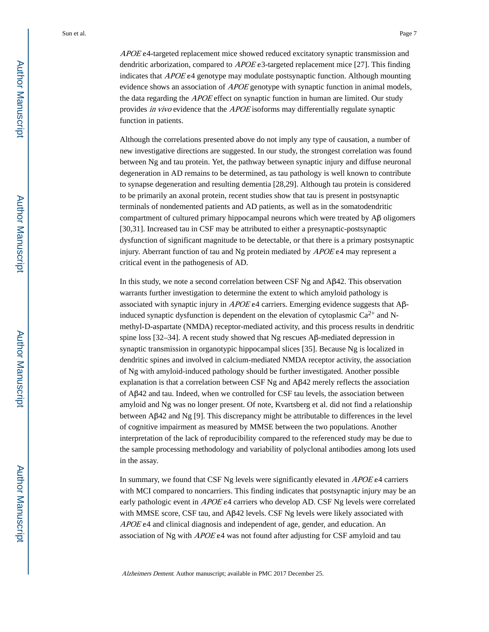APOE ε4-targeted replacement mice showed reduced excitatory synaptic transmission and dendritic arborization, compared to  $APOE$  e3-targeted replacement mice [27]. This finding indicates that  $APOE$  genotype may modulate postsynaptic function. Although mounting evidence shows an association of *APOE* genotype with synaptic function in animal models, the data regarding the *APOE* effect on synaptic function in human are limited. Our study provides in vivo evidence that the APOE isoforms may differentially regulate synaptic function in patients.

Although the correlations presented above do not imply any type of causation, a number of new investigative directions are suggested. In our study, the strongest correlation was found between Ng and tau protein. Yet, the pathway between synaptic injury and diffuse neuronal degeneration in AD remains to be determined, as tau pathology is well known to contribute to synapse degeneration and resulting dementia [28,29]. Although tau protein is considered to be primarily an axonal protein, recent studies show that tau is present in postsynaptic terminals of nondemented patients and AD patients, as well as in the somatodendritic compartment of cultured primary hippocampal neurons which were treated by Aβ oligomers [30,31]. Increased tau in CSF may be attributed to either a presynaptic-postsynaptic dysfunction of significant magnitude to be detectable, or that there is a primary postsynaptic injury. Aberrant function of tau and Ng protein mediated by APOE ε4 may represent a critical event in the pathogenesis of AD.

In this study, we note a second correlation between CSF Ng and  $\Delta \beta$ 42. This observation warrants further investigation to determine the extent to which amyloid pathology is associated with synaptic injury in  $APOEe4$  carriers. Emerging evidence suggests that  $\mathsf{AB}$ induced synaptic dysfunction is dependent on the elevation of cytoplasmic  $Ca^{2+}$  and Nmethyl-D-aspartate (NMDA) receptor-mediated activity, and this process results in dendritic spine loss [32–34]. A recent study showed that Ng rescues Aβ-mediated depression in synaptic transmission in organotypic hippocampal slices [35]. Because Ng is localized in dendritic spines and involved in calcium-mediated NMDA receptor activity, the association of Ng with amyloid-induced pathology should be further investigated. Another possible explanation is that a correlation between CSF Ng and Aβ42 merely reflects the association of Aβ42 and tau. Indeed, when we controlled for CSF tau levels, the association between amyloid and Ng was no longer present. Of note, Kvartsberg et al. did not find a relationship between Aβ42 and Ng [9]. This discrepancy might be attributable to differences in the level of cognitive impairment as measured by MMSE between the two populations. Another interpretation of the lack of reproducibility compared to the referenced study may be due to the sample processing methodology and variability of polyclonal antibodies among lots used in the assay.

In summary, we found that CSF Ng levels were significantly elevated in *APOE* e4 carriers with MCI compared to noncarriers. This finding indicates that postsynaptic injury may be an early pathologic event in APOE ε4 carriers who develop AD. CSF Ng levels were correlated with MMSE score, CSF tau, and Aβ42 levels. CSF Ng levels were likely associated with  $APOE$  ε4 and clinical diagnosis and independent of age, gender, and education. An association of Ng with APOE ε4 was not found after adjusting for CSF amyloid and tau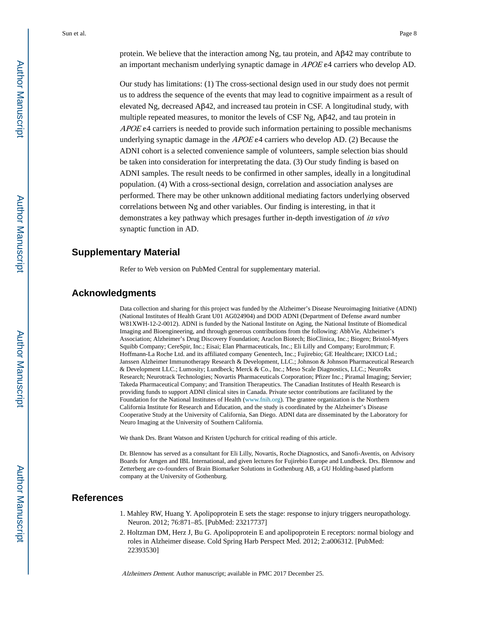protein. We believe that the interaction among Ng, tau protein, and  $\Delta \beta$ 42 may contribute to an important mechanism underlying synaptic damage in APOE ε4 carriers who develop AD.

Our study has limitations: (1) The cross-sectional design used in our study does not permit us to address the sequence of the events that may lead to cognitive impairment as a result of elevated Ng, decreased Aβ42, and increased tau protein in CSF. A longitudinal study, with multiple repeated measures, to monitor the levels of CSF Ng, Aβ42, and tau protein in  $APOE$  e4 carriers is needed to provide such information pertaining to possible mechanisms underlying synaptic damage in the  $APOEe4$  carriers who develop AD. (2) Because the ADNI cohort is a selected convenience sample of volunteers, sample selection bias should be taken into consideration for interpretating the data. (3) Our study finding is based on ADNI samples. The result needs to be confirmed in other samples, ideally in a longitudinal population. (4) With a cross-sectional design, correlation and association analyses are performed. There may be other unknown additional mediating factors underlying observed correlations between Ng and other variables. Our finding is interesting, in that it demonstrates a key pathway which presages further in-depth investigation of in vivo synaptic function in AD.

# **Supplementary Material**

Refer to Web version on PubMed Central for supplementary material.

# **Acknowledgments**

Data collection and sharing for this project was funded by the Alzheimer's Disease Neuroimaging Initiative (ADNI) (National Institutes of Health Grant U01 AG024904) and DOD ADNI (Department of Defense award number W81XWH-12-2-0012). ADNI is funded by the National Institute on Aging, the National Institute of Biomedical Imaging and Bioengineering, and through generous contributions from the following: AbbVie, Alzheimer's Association; Alzheimer's Drug Discovery Foundation; Araclon Biotech; BioClinica, Inc.; Biogen; Bristol-Myers Squibb Company; CereSpir, Inc.; Eisai; Elan Pharmaceuticals, Inc.; Eli Lilly and Company; EuroImmun; F. Hoffmann-La Roche Ltd. and its affiliated company Genentech, Inc.; Fujirebio; GE Healthcare; IXICO Ltd.; Janssen Alzheimer Immunotherapy Research & Development, LLC.; Johnson & Johnson Pharmaceutical Research & Development LLC.; Lumosity; Lundbeck; Merck & Co., Inc.; Meso Scale Diagnostics, LLC.; NeuroRx Research; Neurotrack Technologies; Novartis Pharmaceuticals Corporation; Pfizer Inc.; Piramal Imaging; Servier; Takeda Pharmaceutical Company; and Transition Therapeutics. The Canadian Institutes of Health Research is providing funds to support ADNI clinical sites in Canada. Private sector contributions are facilitated by the Foundation for the National Institutes of Health (www.fnih.org). The grantee organization is the Northern California Institute for Research and Education, and the study is coordinated by the Alzheimer's Disease Cooperative Study at the University of California, San Diego. ADNI data are disseminated by the Laboratory for Neuro Imaging at the University of Southern California.

We thank Drs. Brant Watson and Kristen Upchurch for critical reading of this article.

Dr. Blennow has served as a consultant for Eli Lilly, Novartis, Roche Diagnostics, and Sanofi-Aventis, on Advisory Boards for Amgen and IBL International, and given lectures for Fujirebio Europe and Lundbeck. Drs. Blennow and Zetterberg are co-founders of Brain Biomarker Solutions in Gothenburg AB, a GU Holding-based platform company at the University of Gothenburg.

# **References**

- 1. Mahley RW, Huang Y. Apolipoprotein E sets the stage: response to injury triggers neuropathology. Neuron. 2012; 76:871–85. [PubMed: 23217737]
- 2. Holtzman DM, Herz J, Bu G. Apolipoprotein E and apolipoprotein E receptors: normal biology and roles in Alzheimer disease. Cold Spring Harb Perspect Med. 2012; 2:a006312. [PubMed: 22393530]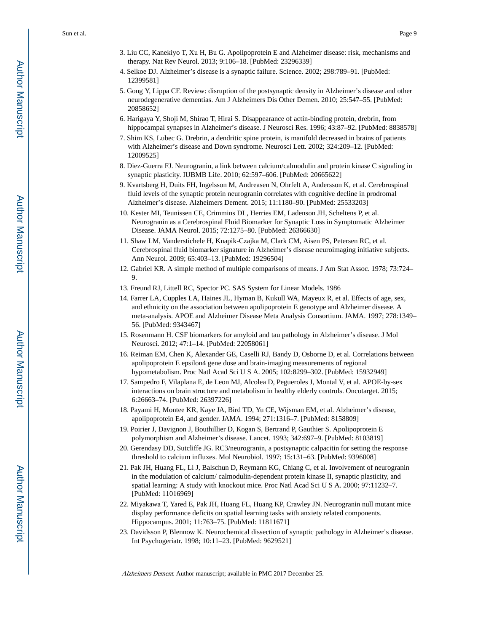- 3. Liu CC, Kanekiyo T, Xu H, Bu G. Apolipoprotein E and Alzheimer disease: risk, mechanisms and therapy. Nat Rev Neurol. 2013; 9:106–18. [PubMed: 23296339]
- 4. Selkoe DJ. Alzheimer's disease is a synaptic failure. Science. 2002; 298:789–91. [PubMed: 12399581]
- 5. Gong Y, Lippa CF. Review: disruption of the postsynaptic density in Alzheimer's disease and other neurodegenerative dementias. Am J Alzheimers Dis Other Demen. 2010; 25:547–55. [PubMed: 20858652]
- 6. Harigaya Y, Shoji M, Shirao T, Hirai S. Disappearance of actin-binding protein, drebrin, from hippocampal synapses in Alzheimer's disease. J Neurosci Res. 1996; 43:87–92. [PubMed: 8838578]
- 7. Shim KS, Lubec G. Drebrin, a dendritic spine protein, is manifold decreased in brains of patients with Alzheimer's disease and Down syndrome. Neurosci Lett. 2002; 324:209–12. [PubMed: 12009525]
- 8. Diez-Guerra FJ. Neurogranin, a link between calcium/calmodulin and protein kinase C signaling in synaptic plasticity. IUBMB Life. 2010; 62:597–606. [PubMed: 20665622]
- 9. Kvartsberg H, Duits FH, Ingelsson M, Andreasen N, Ohrfelt A, Andersson K, et al. Cerebrospinal fluid levels of the synaptic protein neurogranin correlates with cognitive decline in prodromal Alzheimer's disease. Alzheimers Dement. 2015; 11:1180–90. [PubMed: 25533203]
- 10. Kester MI, Teunissen CE, Crimmins DL, Herries EM, Ladenson JH, Scheltens P, et al. Neurogranin as a Cerebrospinal Fluid Biomarker for Synaptic Loss in Symptomatic Alzheimer Disease. JAMA Neurol. 2015; 72:1275–80. [PubMed: 26366630]
- 11. Shaw LM, Vanderstichele H, Knapik-Czajka M, Clark CM, Aisen PS, Petersen RC, et al. Cerebrospinal fluid biomarker signature in Alzheimer's disease neuroimaging initiative subjects. Ann Neurol. 2009; 65:403–13. [PubMed: 19296504]
- 12. Gabriel KR. A simple method of multiple comparisons of means. J Am Stat Assoc. 1978; 73:724– 9.
- 13. Freund RJ, Littell RC, Spector PC. SAS System for Linear Models. 1986
- 14. Farrer LA, Cupples LA, Haines JL, Hyman B, Kukull WA, Mayeux R, et al. Effects of age, sex, and ethnicity on the association between apolipoprotein E genotype and Alzheimer disease. A meta-analysis. APOE and Alzheimer Disease Meta Analysis Consortium. JAMA. 1997; 278:1349– 56. [PubMed: 9343467]
- 15. Rosenmann H. CSF biomarkers for amyloid and tau pathology in Alzheimer's disease. J Mol Neurosci. 2012; 47:1–14. [PubMed: 22058061]
- 16. Reiman EM, Chen K, Alexander GE, Caselli RJ, Bandy D, Osborne D, et al. Correlations between apolipoprotein E epsilon4 gene dose and brain-imaging measurements of regional hypometabolism. Proc Natl Acad Sci U S A. 2005; 102:8299–302. [PubMed: 15932949]
- 17. Sampedro F, Vilaplana E, de Leon MJ, Alcolea D, Pegueroles J, Montal V, et al. APOE-by-sex interactions on brain structure and metabolism in healthy elderly controls. Oncotarget. 2015; 6:26663–74. [PubMed: 26397226]
- 18. Payami H, Montee KR, Kaye JA, Bird TD, Yu CE, Wijsman EM, et al. Alzheimer's disease, apolipoprotein E4, and gender. JAMA. 1994; 271:1316–7. [PubMed: 8158809]
- 19. Poirier J, Davignon J, Bouthillier D, Kogan S, Bertrand P, Gauthier S. Apolipoprotein E polymorphism and Alzheimer's disease. Lancet. 1993; 342:697–9. [PubMed: 8103819]
- 20. Gerendasy DD, Sutcliffe JG. RC3/neurogranin, a postsynaptic calpacitin for setting the response threshold to calcium influxes. Mol Neurobiol. 1997; 15:131–63. [PubMed: 9396008]
- 21. Pak JH, Huang FL, Li J, Balschun D, Reymann KG, Chiang C, et al. Involvement of neurogranin in the modulation of calcium/ calmodulin-dependent protein kinase II, synaptic plasticity, and spatial learning: A study with knockout mice. Proc Natl Acad Sci U S A. 2000; 97:11232–7. [PubMed: 11016969]
- 22. Miyakawa T, Yared E, Pak JH, Huang FL, Huang KP, Crawley JN. Neurogranin null mutant mice display performance deficits on spatial learning tasks with anxiety related components. Hippocampus. 2001; 11:763–75. [PubMed: 11811671]
- 23. Davidsson P, Blennow K. Neurochemical dissection of synaptic pathology in Alzheimer's disease. Int Psychogeriatr. 1998; 10:11–23. [PubMed: 9629521]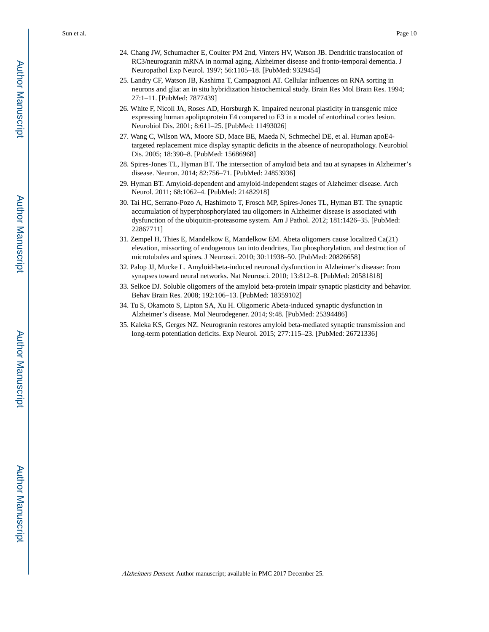- 24. Chang JW, Schumacher E, Coulter PM 2nd, Vinters HV, Watson JB. Dendritic translocation of RC3/neurogranin mRNA in normal aging, Alzheimer disease and fronto-temporal dementia. J Neuropathol Exp Neurol. 1997; 56:1105–18. [PubMed: 9329454]
- 25. Landry CF, Watson JB, Kashima T, Campagnoni AT. Cellular influences on RNA sorting in neurons and glia: an in situ hybridization histochemical study. Brain Res Mol Brain Res. 1994; 27:1–11. [PubMed: 7877439]
- 26. White F, Nicoll JA, Roses AD, Horsburgh K. Impaired neuronal plasticity in transgenic mice expressing human apolipoprotein E4 compared to E3 in a model of entorhinal cortex lesion. Neurobiol Dis. 2001; 8:611–25. [PubMed: 11493026]
- 27. Wang C, Wilson WA, Moore SD, Mace BE, Maeda N, Schmechel DE, et al. Human apoE4 targeted replacement mice display synaptic deficits in the absence of neuropathology. Neurobiol Dis. 2005; 18:390–8. [PubMed: 15686968]
- 28. Spires-Jones TL, Hyman BT. The intersection of amyloid beta and tau at synapses in Alzheimer's disease. Neuron. 2014; 82:756–71. [PubMed: 24853936]
- 29. Hyman BT. Amyloid-dependent and amyloid-independent stages of Alzheimer disease. Arch Neurol. 2011; 68:1062–4. [PubMed: 21482918]
- 30. Tai HC, Serrano-Pozo A, Hashimoto T, Frosch MP, Spires-Jones TL, Hyman BT. The synaptic accumulation of hyperphosphorylated tau oligomers in Alzheimer disease is associated with dysfunction of the ubiquitin-proteasome system. Am J Pathol. 2012; 181:1426–35. [PubMed: 22867711]
- 31. Zempel H, Thies E, Mandelkow E, Mandelkow EM. Abeta oligomers cause localized Ca(21) elevation, missorting of endogenous tau into dendrites, Tau phosphorylation, and destruction of microtubules and spines. J Neurosci. 2010; 30:11938–50. [PubMed: 20826658]
- 32. Palop JJ, Mucke L. Amyloid-beta-induced neuronal dysfunction in Alzheimer's disease: from synapses toward neural networks. Nat Neurosci. 2010; 13:812–8. [PubMed: 20581818]
- 33. Selkoe DJ. Soluble oligomers of the amyloid beta-protein impair synaptic plasticity and behavior. Behav Brain Res. 2008; 192:106–13. [PubMed: 18359102]
- 34. Tu S, Okamoto S, Lipton SA, Xu H. Oligomeric Abeta-induced synaptic dysfunction in Alzheimer's disease. Mol Neurodegener. 2014; 9:48. [PubMed: 25394486]
- 35. Kaleka KS, Gerges NZ. Neurogranin restores amyloid beta-mediated synaptic transmission and long-term potentiation deficits. Exp Neurol. 2015; 277:115–23. [PubMed: 26721336]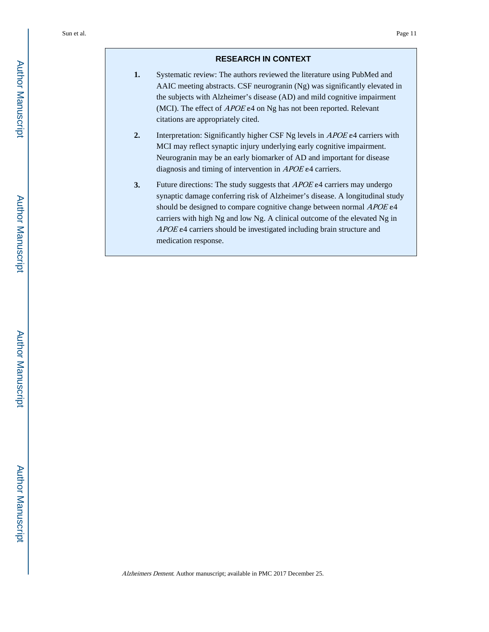#### **RESEARCH IN CONTEXT**

- **1.** Systematic review: The authors reviewed the literature using PubMed and AAIC meeting abstracts. CSF neurogranin (Ng) was significantly elevated in the subjects with Alzheimer's disease (AD) and mild cognitive impairment (MCI). The effect of APOE ε4 on Ng has not been reported. Relevant citations are appropriately cited.
- **2.** Interpretation: Significantly higher CSF Ng levels in APOE ε4 carriers with MCI may reflect synaptic injury underlying early cognitive impairment. Neurogranin may be an early biomarker of AD and important for disease diagnosis and timing of intervention in APOE ε4 carriers.
- **3.** Future directions: The study suggests that APOE ε4 carriers may undergo synaptic damage conferring risk of Alzheimer's disease. A longitudinal study should be designed to compare cognitive change between normal APOE  $e4$ carriers with high Ng and low Ng. A clinical outcome of the elevated Ng in APOE ε4 carriers should be investigated including brain structure and medication response.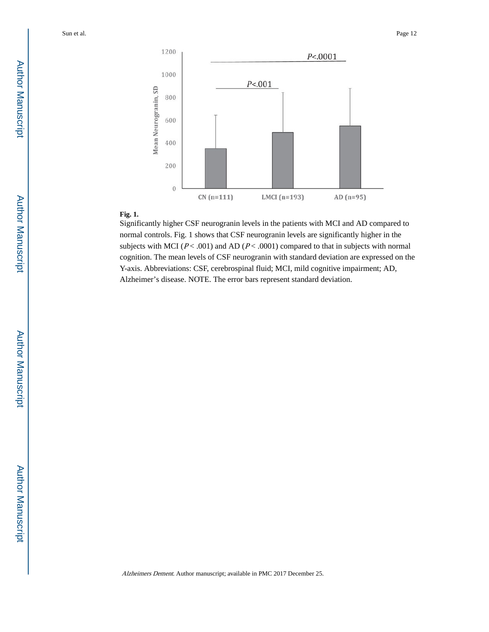

# **Fig. 1.**

Significantly higher CSF neurogranin levels in the patients with MCI and AD compared to normal controls. Fig. 1 shows that CSF neurogranin levels are significantly higher in the subjects with MCI ( $P < .001$ ) and AD ( $P < .0001$ ) compared to that in subjects with normal cognition. The mean levels of CSF neurogranin with standard deviation are expressed on the Y-axis. Abbreviations: CSF, cerebrospinal fluid; MCI, mild cognitive impairment; AD, Alzheimer's disease. NOTE. The error bars represent standard deviation.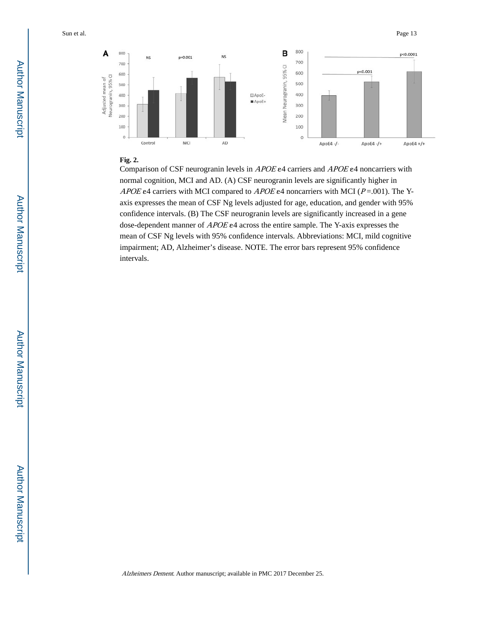

#### **Fig. 2.**

Comparison of CSF neurogranin levels in APOE ε4 carriers and APOE ε4 noncarriers with normal cognition, MCI and AD. (A) CSF neurogranin levels are significantly higher in APOE ε4 carriers with MCI compared to APOE ε4 noncarriers with MCI ( $P = .001$ ). The Yaxis expresses the mean of CSF Ng levels adjusted for age, education, and gender with 95% confidence intervals. (B) The CSF neurogranin levels are significantly increased in a gene dose-dependent manner of APOE ε4 across the entire sample. The Y-axis expresses the mean of CSF Ng levels with 95% confidence intervals. Abbreviations: MCI, mild cognitive impairment; AD, Alzheimer's disease. NOTE. The error bars represent 95% confidence intervals.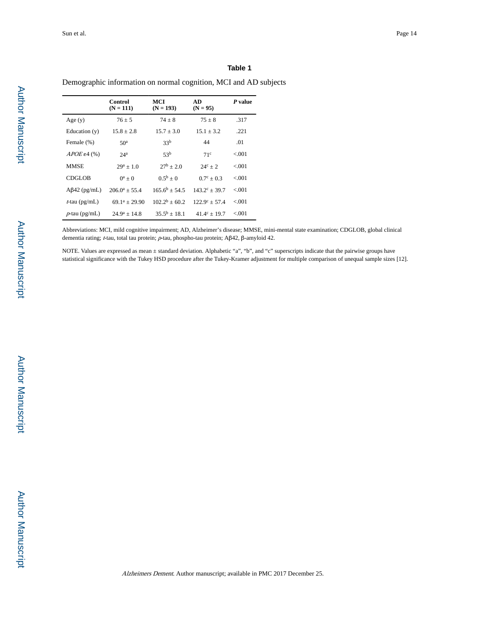#### **Table 1**

Demographic information on normal cognition, MCI and AD subjects

|                     | Control<br>$(N = 111)$ | MCI<br>$(N = 193)$ | AD<br>$(N = 95)$       | P value |
|---------------------|------------------------|--------------------|------------------------|---------|
| Age(y)              | $76 + 5$               | $74 + 8$           | $75 + 8$               | .317    |
| Education $(v)$     | $15.8 + 2.8$           | $15.7 + 3.0$       | $15.1 + 3.2$           | .221    |
| Female (%)          | 50 <sup>a</sup>        | 33 <sup>b</sup>    | 44                     | .01     |
| $APOE$ e4 $(\%)$    | 24 <sup>a</sup>        | 53 <sup>b</sup>    | 71c                    | < 0.01  |
| <b>MMSE</b>         | $29^a + 1.0$           | $27^{\rm b}$ + 2.0 | $24^c + 2$             | < 0.001 |
| <b>CDGLOB</b>       | $0^a + 0$              | $0.5^{b} + 0$      | $0.7^{\circ}$ + 0.3    | < 0.01  |
| $A\beta$ 42 (pg/mL) | $206.0^a + 55.4$       | $1656^b + 545$     | $143.2^{\circ} + 39.7$ | < 0.01  |
| $t$ -tau (pg/mL)    | $69.1^a + 29.90$       | $102.2^b + 60.2$   | $122.9^{\circ} + 57.4$ | < 0.01  |
| $p$ -tau (pg/mL)    | $24.9^a + 14.8$        | $35.5^{b} + 18.1$  | $41.4^{\circ} + 19.7$  | < 0.01  |

Abbreviations: MCI, mild cognitive impairment; AD, Alzheimer's disease; MMSE, mini-mental state examination; CDGLOB, global clinical dementia rating; t-tau, total tau protein; p-tau, phospho-tau protein; Aβ42, β-amyloid 42.

NOTE. Values are expressed as mean ± standard deviation. Alphabetic "a", "b", and "c" superscripts indicate that the pairwise groups have statistical significance with the Tukey HSD procedure after the Tukey-Kramer adjustment for multiple comparison of unequal sample sizes [12].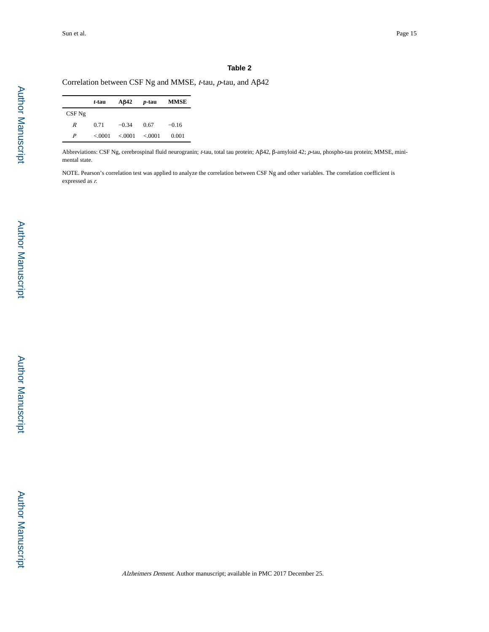L

#### **Table 2**

Correlation between CSF Ng and MMSE, t-tau, p-tau, and Aβ42

|                  | t-tau  | A <sub>B</sub> 42     | <i>p</i> -tau | <b>MMSE</b> |
|------------------|--------|-----------------------|---------------|-------------|
| $CSF$ Ng         |        |                       |               |             |
| R                | 0.71   | $-0.34$               | 0.67          | $-0.16$     |
| $\boldsymbol{P}$ | < 0001 | $< 0.0001$ $< 0.0001$ |               | 0.001       |

Abbreviations: CSF Ng, cerebrospinal fluid neurogranin; t-tau, total tau protein; Aβ42, β-amyloid 42; p-tau, phospho-tau protein; MMSE, minimental state.

NOTE. Pearson's correlation test was applied to analyze the correlation between CSF Ng and other variables. The correlation coefficient is expressed as r.